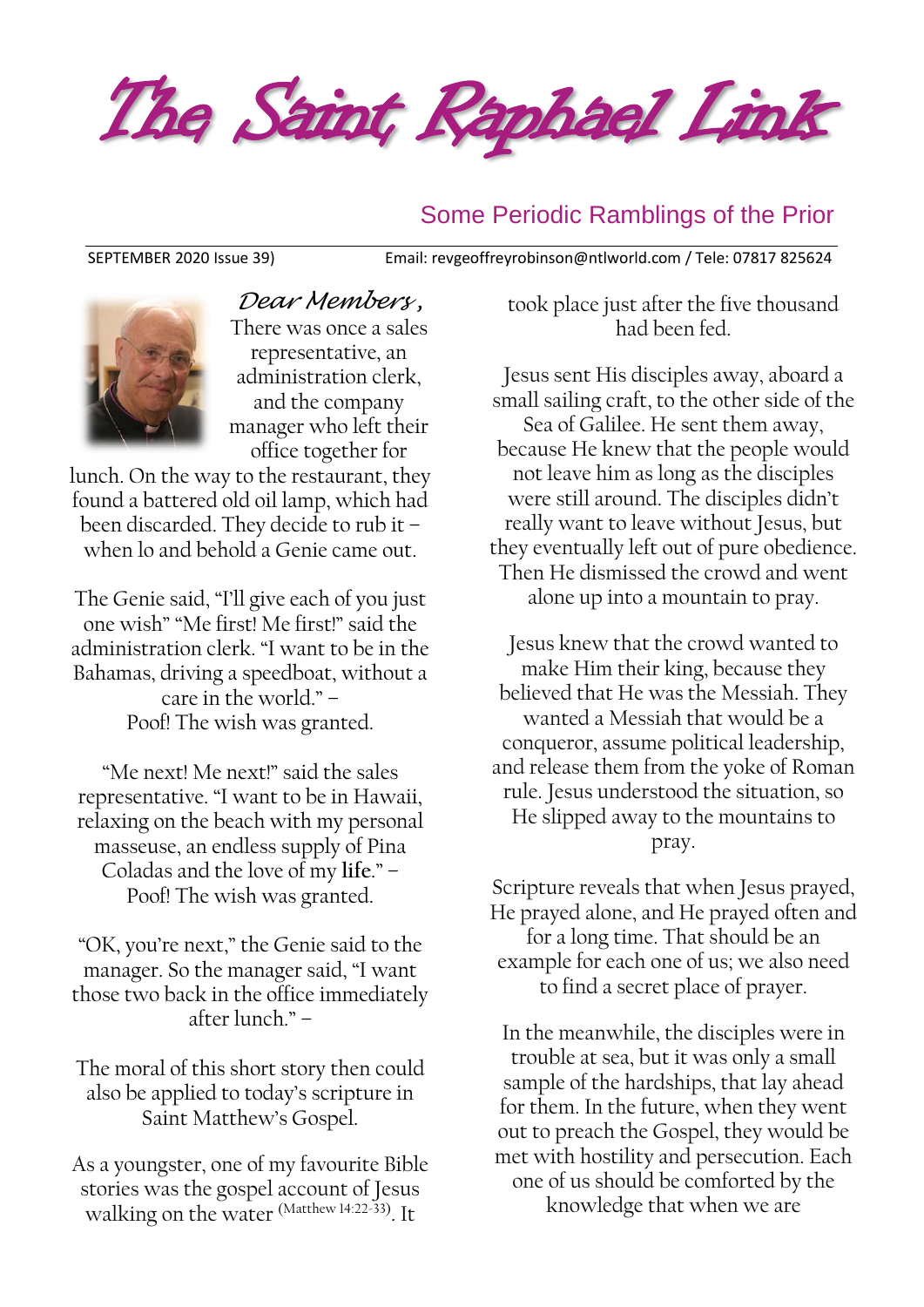The Saint Raphael Link

#### Some Periodic Ramblings of the Prior

SEPTEMBER 2020 Issue 39) Email: [revgeoffreyrobinson@ntlworld.com](mailto:revgeoffreyrobinson@ntlworld.com) / Tele: 07817 825624



*Dear Members ,* There was once a sales representative, an administration clerk, and the company manager who left their office together for

lunch. On the way to the restaurant, they found a battered old oil lamp, which had been discarded. They decide to rub it – when lo and behold a Genie came out.

The Genie said, "I'll give each of you just one wish" "Me first! Me first!" said the administration clerk. "I want to be in the Bahamas, driving a speedboat, without a care in the world." – Poof! The wish was granted.

"Me next! Me next!" said the sales representative. "I want to be in Hawaii, relaxing on the beach with my personal masseuse, an endless supply of Pina Coladas and the love of my **life**." – Poof! The wish was granted.

"OK, you're next," the Genie said to the manager. So the manager said, "I want those two back in the office immediately after lunch." –

The moral of this short story then could also be applied to today's scripture in Saint Matthew's Gospel.

As a youngster, one of my favourite Bible stories was the gospel account of Jesus walking on the water (Matthew 14:22-33) . It

took place just after the five thousand had been fed.

Jesus sent His disciples away, aboard a small sailing craft, to the other side of the Sea of Galilee. He sent them away, because He knew that the people would not leave him as long as the disciples were still around. The disciples didn't really want to leave without Jesus, but they eventually left out of pure obedience. Then He dismissed the crowd and went alone up into a mountain to pray.

Jesus knew that the crowd wanted to make Him their king, because they believed that He was the Messiah. They wanted a Messiah that would be a conqueror, assume political leadership, and release them from the yoke of Roman rule. Jesus understood the situation, so He slipped away to the mountains to pray.

Scripture reveals that when Jesus prayed, He prayed alone, and He prayed often and for a long time. That should be an example for each one of us; we also need to find a secret place of prayer.

In the meanwhile, the disciples were in trouble at sea, but it was only a small sample of the hardships, that lay ahead for them. In the future, when they went out to preach the Gospel, they would be met with hostility and persecution. Each one of us should be comforted by the knowledge that when we are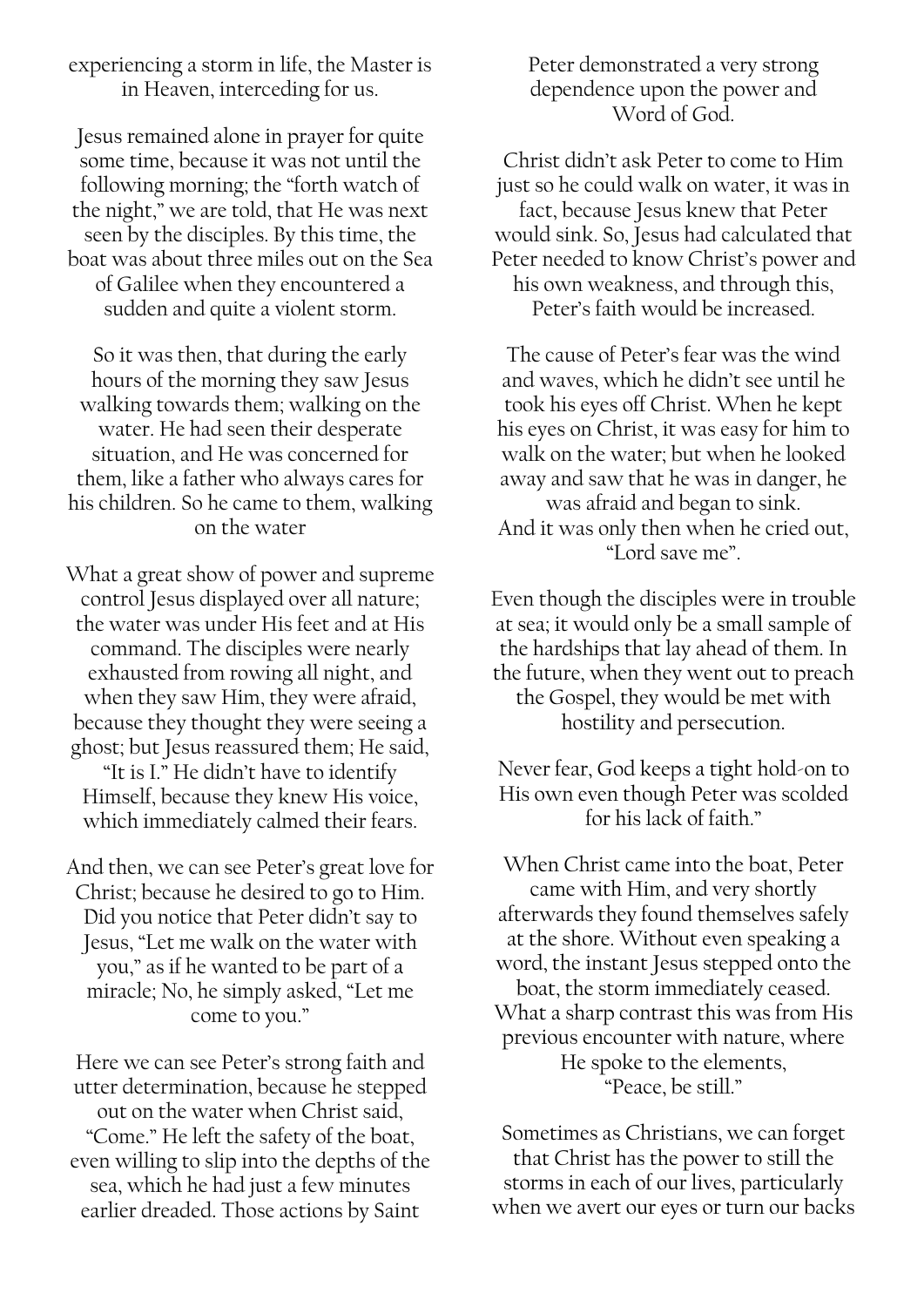experiencing a storm in life, the Master is in Heaven, interceding for us.

Jesus remained alone in prayer for quite some time, because it was not until the following morning; the "forth watch of the night," we are told, that He was next seen by the disciples. By this time, the boat was about three miles out on the Sea of Galilee when they encountered a sudden and quite a violent storm.

So it was then, that during the early hours of the morning they saw Jesus walking towards them; walking on the water. He had seen their desperate situation, and He was concerned for them, like a father who always cares for his children. So he came to them, walking on the water

What a great show of power and supreme control Jesus displayed over all nature; the water was under His feet and at His command. The disciples were nearly exhausted from rowing all night, and when they saw Him, they were afraid, because they thought they were seeing a ghost; but Jesus reassured them; He said, "It is I." He didn't have to identify Himself, because they knew His voice, which immediately calmed their fears.

And then, we can see Peter's great love for Christ; because he desired to go to Him. Did you notice that Peter didn't say to Jesus, "Let me walk on the water with you," as if he wanted to be part of a miracle; No, he simply asked, "Let me come to you."

Here we can see Peter's strong faith and utter determination, because he stepped out on the water when Christ said, "Come." He left the safety of the boat, even willing to slip into the depths of the sea, which he had just a few minutes earlier dreaded. Those actions by Saint

Peter demonstrated a very strong dependence upon the power and Word of God.

Christ didn't ask Peter to come to Him just so he could walk on water, it was in fact, because Jesus knew that Peter would sink. So, Jesus had calculated that Peter needed to know Christ's power and his own weakness, and through this, Peter's faith would be increased.

The cause of Peter's fear was the wind and waves, which he didn't see until he took his eyes off Christ. When he kept his eyes on Christ, it was easy for him to walk on the water; but when he looked away and saw that he was in danger, he was afraid and began to sink. And it was only then when he cried out, "Lord save me".

Even though the disciples were in trouble at sea; it would only be a small sample of the hardships that lay ahead of them. In the future, when they went out to preach the Gospel, they would be met with hostility and persecution.

Never fear, God keeps a tight hold-on to His own even though Peter was scolded for his lack of faith."

When Christ came into the boat, Peter came with Him, and very shortly afterwards they found themselves safely at the shore. Without even speaking a word, the instant Jesus stepped onto the boat, the storm immediately ceased. What a sharp contrast this was from His previous encounter with nature, where He spoke to the elements, "Peace, be still."

Sometimes as Christians, we can forget that Christ has the power to still the storms in each of our lives, particularly when we avert our eyes or turn our backs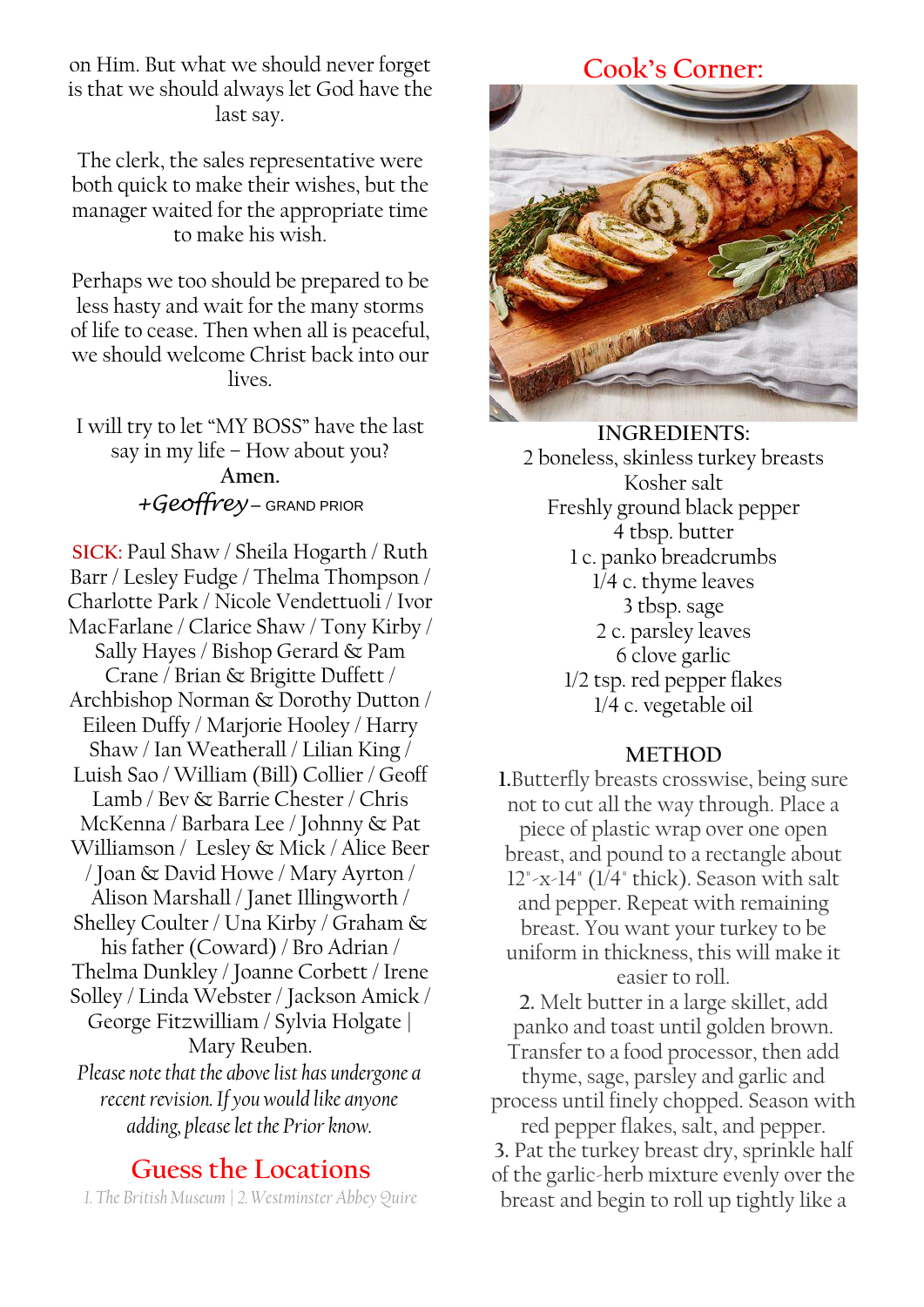on Him. But what we should never forget is that we should always let God have the last say.

The clerk, the sales representative were both quick to make their wishes, but the manager waited for the appropriate time to make his wish.

Perhaps we too should be prepared to be less hasty and wait for the many storms of life to cease. Then when all is peaceful, we should welcome Christ back into our lives.

I will try to let "MY BOSS" have the last say in my life – How about you? **Amen.** *+Geoffrey* – GRAND PRIOR

**SICK:** Paul Shaw / Sheila Hogarth / Ruth Barr / Lesley Fudge / Thelma Thompson / Charlotte Park / Nicole Vendettuoli / Ivor MacFarlane / Clarice Shaw / Tony Kirby / Sally Hayes / Bishop Gerard & Pam Crane / Brian & Brigitte Duffett / Archbishop Norman & Dorothy Dutton / Eileen Duffy / Marjorie Hooley / Harry Shaw / Ian Weatherall / Lilian King / Luish Sao / William (Bill) Collier / Geoff Lamb / Bev & Barrie Chester / Chris McKenna / Barbara Lee / Johnny & Pat Williamson / Lesley & Mick / Alice Beer / Joan & David Howe / Mary Ayrton / Alison Marshall / Janet Illingworth / Shelley Coulter / Una Kirby / Graham & his father (Coward) / Bro Adrian / Thelma Dunkley / Joanne Corbett / Irene Solley / Linda Webster / Jackson Amick / George Fitzwilliam / Sylvia Holgate | Mary Reuben. *Please note that the above list has undergone a recent revision. If you would like anyone adding, please let the Prior know.*

## **Guess the Locations**

*1. The British Museum | 2. Westminster Abbey Quire*

## **Cook's Corner:**



**INGREDIENTS:** 2 boneless, skinless turkey breasts Kosher salt Freshly ground black pepper 4 tbsp. butter 1 c. panko breadcrumbs 1/4 c. thyme leaves 3 tbsp. sage 2 c. parsley leaves 6 clove garlic 1/2 tsp. red pepper flakes 1/4 c. vegetable oil

#### **METHOD**

**1.**Butterfly breasts crosswise, being sure not to cut all the way through. Place a piece of plastic wrap over one open breast, and pound to a rectangle about  $12" -x-14"$  ( $1/4"$  thick). Season with salt and pepper. Repeat with remaining breast. You want your turkey to be uniform in thickness, this will make it easier to roll. **2.** Melt butter in a large skillet, add panko and toast until golden brown. Transfer to a food processor, then add thyme, sage, parsley and garlic and process until finely chopped. Season with red pepper flakes, salt, and pepper. **3.** Pat the turkey breast dry, sprinkle half of the garlic-herb mixture evenly over the breast and begin to roll up tightly like a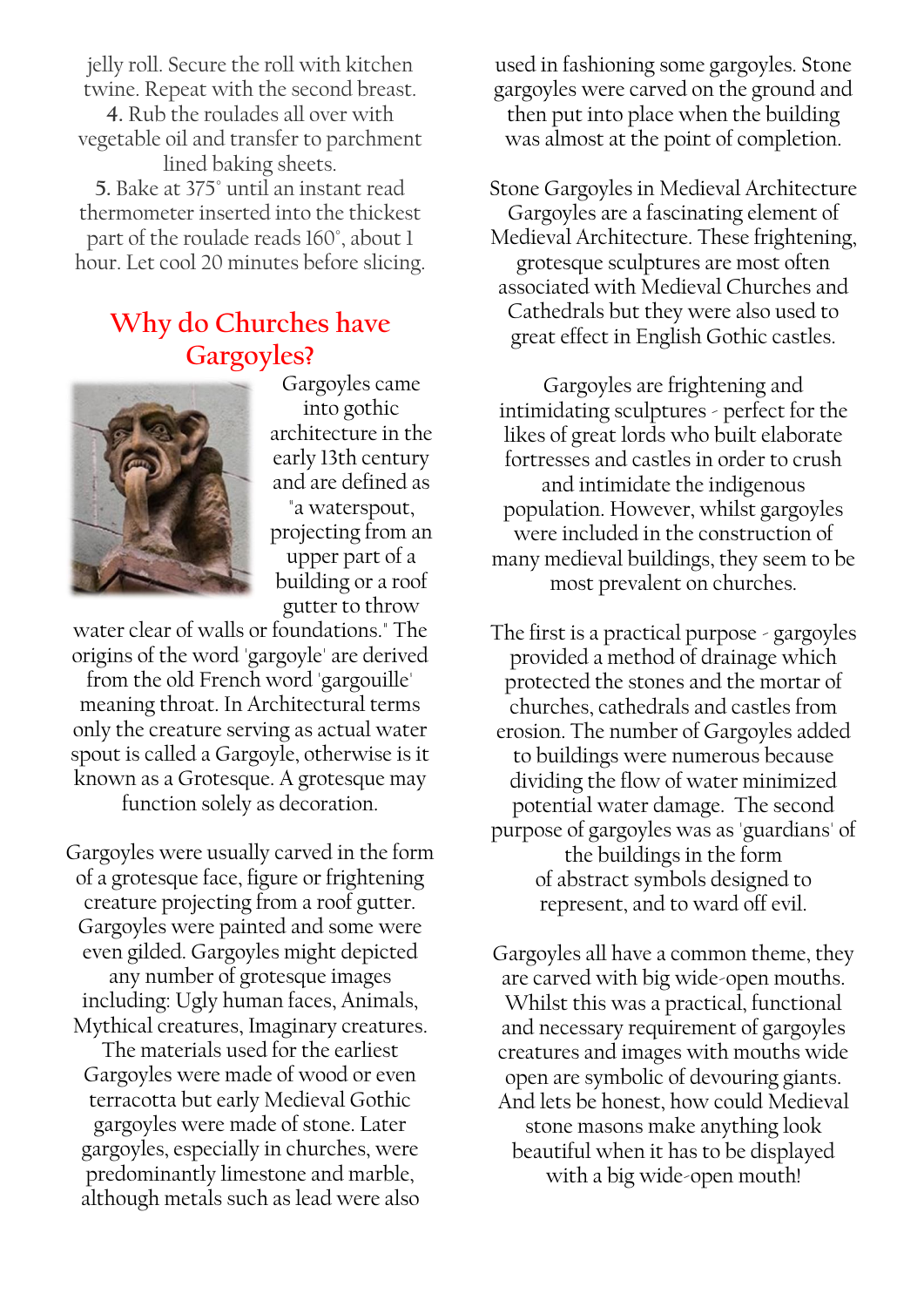jelly roll. Secure the roll with kitchen twine. Repeat with the second breast.

**4.** Rub the roulades all over with vegetable oil and transfer to parchment lined baking sheets.

**5.** Bake at 375° until an instant read thermometer inserted into the thickest part of the roulade reads 160°, about 1 hour. Let cool 20 minutes before slicing.

## **Why do Churches have Gargoyles?**



Gargoyles came into gothic architecture in the early 13th century and are defined as "a waterspout, projecting from an

upper part of a building or a roof gutter to throw

water clear of walls or foundations." The origins of the word 'gargoyle' are derived from the old French word 'gargouille' meaning throat. In Architectural terms only the creature serving as actual water spout is called a Gargoyle, otherwise is it known as a Grotesque. A grotesque may function solely as decoration.

Gargoyles were usually carved in the form of a grotesque face, figure or frightening creature projecting from a roof gutter. Gargoyles were painted and some were even gilded. Gargoyles might depicted any number of grotesque images including: Ugly human faces, Animals, Mythical creatures, Imaginary creatures. The materials used for the earliest

Gargoyles were made of wood or even terracotta but early Medieval Gothic gargoyles were made of stone. Later gargoyles, especially in churches, were predominantly limestone and marble, although metals such as lead were also

used in fashioning some gargoyles. Stone gargoyles were carved on the ground and then put into place when the building was almost at the point of completion.

Stone Gargoyles in Medieval Architecture Gargoyles are a fascinating element of Medieval Architecture. These frightening, grotesque sculptures are most often associated with Medieval Churches and Cathedrals but they were also used to great effect in English Gothic castles.

Gargoyles are frightening and intimidating sculptures - perfect for the likes of great lords who built elaborate fortresses and castles in order to crush and intimidate the indigenous population. However, whilst gargoyles were included in the construction of many medieval buildings, they seem to be most prevalent on churches.

The first is a practical purpose - gargoyles provided a method of drainage which protected the stones and the mortar of churches, cathedrals and castles from erosion. The number of Gargoyles added to buildings were numerous because dividing the flow of water minimized potential water damage. The second purpose of gargoyles was as 'guardians' of the buildings in the form of abstract symbols designed to represent, and to ward off evil.

Gargoyles all have a common theme, they are carved with big wide-open mouths. Whilst this was a practical, functional and necessary requirement of gargoyles creatures and images with mouths wide open are symbolic of devouring giants. And lets be honest, how could Medieval stone masons make anything look beautiful when it has to be displayed with a big wide-open mouth!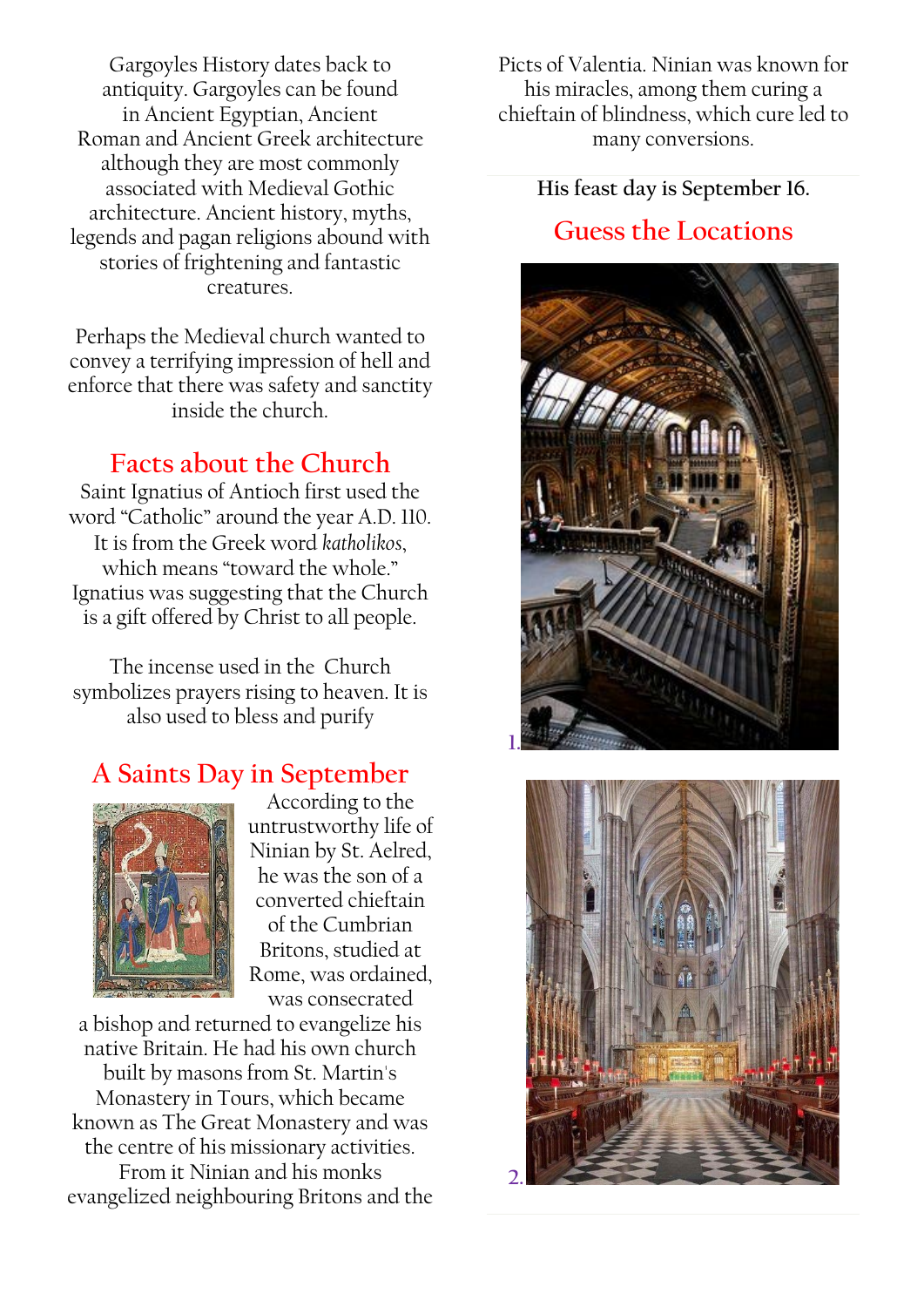Gargoyles History dates back to antiquity. Gargoyles can be found in Ancient Egyptian, Ancient Roman and Ancient Greek architecture although they are most commonly associated with Medieval Gothic architecture. Ancient history, myths, legends and pagan religions abound with stories of frightening and fantastic creatures.

Perhaps the Medieval church wanted to convey a terrifying impression of hell and enforce that there was safety and sanctity inside the church.

# **Facts about the Church**

Saint Ignatius of Antioch first used the word "Catholic" around the year A.D. 110. It is from the Greek word *katholikos*, which means "toward the whole." Ignatius was suggesting that the Church is a gift offered by Christ to all people.

The incense used in the Church symbolizes prayers rising to heaven. It is also used to bless and purify

# **A Saints Day in September**



According to the untrustworthy [life](https://www.catholic.org/encyclopedia/view.php?id=7101) of Ninian by St. Aelred, he was the son of a converted chieftain of the Cumbrian Britons, studied at Rome, was ordained, was consecrated

a [bishop](https://www.catholic.org/encyclopedia/view.php?id=1918) and returned to evangelize his native Britain. He had his own church built by masons from St. Martin's Monastery in Tours, which became known as The Great Monastery and was the centre of his missionary activities. From it Ninian and his monks evangelized neighbouring Britons and the Picts of Valentia. Ninian was known for his miracles, among them curing a chieftain of blindness, which cure led to many conversions.

**His [feast day](https://www.catholic.org/saints/f_day/) is September 16.**

## **Guess the Locations**